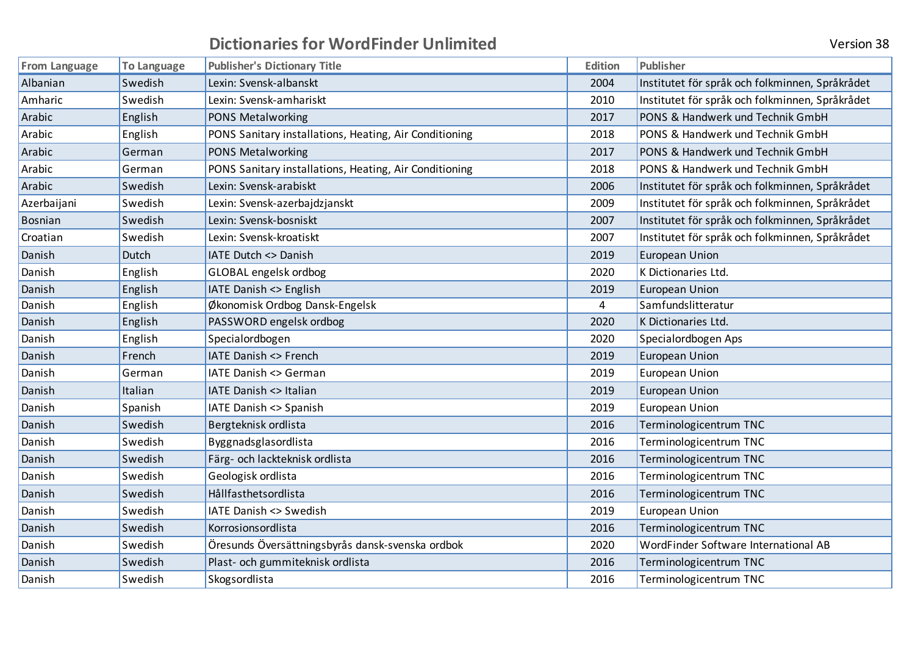| <b>Version 38</b> |  |
|-------------------|--|
|                   |  |
|                   |  |
|                   |  |

| <b>From Language</b> | <b>To Language</b> | <b>Publisher's Dictionary Title</b>                    | Edition | <b>Publisher</b>                                |
|----------------------|--------------------|--------------------------------------------------------|---------|-------------------------------------------------|
| Albanian             | Swedish            | Lexin: Svensk-albanskt                                 | 2004    | Institutet för språk och folkminnen, Språkrådet |
| Amharic              | Swedish            | Lexin: Svensk-amhariskt                                | 2010    | Institutet för språk och folkminnen, Språkrådet |
| Arabic               | English            | PONS Metalworking                                      | 2017    | PONS & Handwerk und Technik GmbH                |
| Arabic               | English            | PONS Sanitary installations, Heating, Air Conditioning | 2018    | PONS & Handwerk und Technik GmbH                |
| Arabic               | German             | PONS Metalworking                                      | 2017    | PONS & Handwerk und Technik GmbH                |
| Arabic               | German             | PONS Sanitary installations, Heating, Air Conditioning | 2018    | PONS & Handwerk und Technik GmbH                |
| Arabic               | Swedish            | Lexin: Svensk-arabiskt                                 | 2006    | Institutet för språk och folkminnen, Språkrådet |
| Azerbaijani          | Swedish            | Lexin: Svensk-azerbajdzjanskt                          | 2009    | Institutet för språk och folkminnen, Språkrådet |
| Bosnian              | Swedish            | Lexin: Svensk-bosniskt                                 | 2007    | Institutet för språk och folkminnen, Språkrådet |
| Croatian             | Swedish            | Lexin: Svensk-kroatiskt                                | 2007    | Institutet för språk och folkminnen, Språkrådet |
| Danish               | Dutch              | IATE Dutch <> Danish                                   | 2019    | <b>European Union</b>                           |
| Danish               | English            | GLOBAL engelsk ordbog                                  | 2020    | K Dictionaries Ltd.                             |
| Danish               | English            | IATE Danish <> English                                 | 2019    | <b>European Union</b>                           |
| Danish               | English            | Økonomisk Ordbog Dansk-Engelsk                         | 4       | Samfundslitteratur                              |
| Danish               | English            | PASSWORD engelsk ordbog                                | 2020    | K Dictionaries Ltd.                             |
| Danish               | English            | Specialordbogen                                        | 2020    | Specialordbogen Aps                             |
| Danish               | French             | IATE Danish <> French                                  | 2019    | <b>European Union</b>                           |
| Danish               | German             | IATE Danish <> German                                  | 2019    | <b>European Union</b>                           |
| Danish               | Italian            | IATE Danish <> Italian                                 | 2019    | <b>European Union</b>                           |
| Danish               | Spanish            | IATE Danish <> Spanish                                 | 2019    | <b>European Union</b>                           |
| Danish               | Swedish            | Bergteknisk ordlista                                   | 2016    | Terminologicentrum TNC                          |
| Danish               | Swedish            | Byggnadsglasordlista                                   | 2016    | Terminologicentrum TNC                          |
| Danish               | Swedish            | Färg- och lackteknisk ordlista                         | 2016    | Terminologicentrum TNC                          |
| Danish               | Swedish            | Geologisk ordlista                                     | 2016    | Terminologicentrum TNC                          |
| Danish               | Swedish            | Hållfasthetsordlista                                   | 2016    | Terminologicentrum TNC                          |
| Danish               | Swedish            | IATE Danish <> Swedish                                 | 2019    | <b>European Union</b>                           |
| Danish               | Swedish            | Korrosionsordlista                                     | 2016    | Terminologicentrum TNC                          |
| Danish               | Swedish            | Öresunds Översättningsbyrås dansk-svenska ordbok       | 2020    | WordFinder Software International AB            |
| Danish               | Swedish            | Plast- och gummiteknisk ordlista                       | 2016    | Terminologicentrum TNC                          |
| Danish               | Swedish            | Skogsordlista                                          | 2016    | Terminologicentrum TNC                          |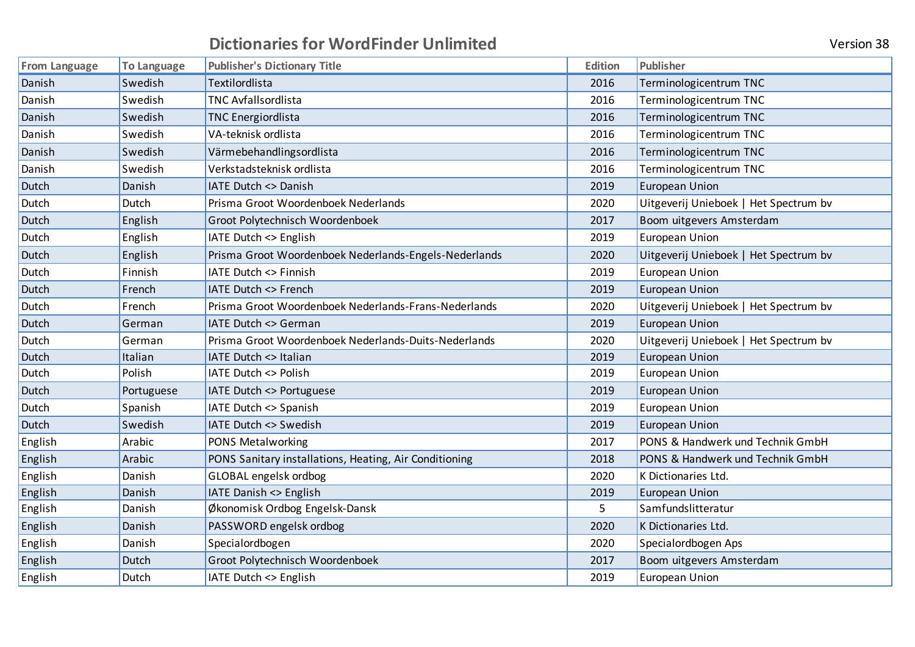| Version 38 |  |
|------------|--|
|            |  |

| <b>From Language</b> | <b>To Language</b> | <b>Publisher's Dictionary Title</b>                    | <b>Edition</b> | Publisher                             |
|----------------------|--------------------|--------------------------------------------------------|----------------|---------------------------------------|
| Danish               | Swedish            | Textilordlista                                         | 2016           | Terminologicentrum TNC                |
| Danish               | Swedish            | <b>TNC Avfallsordlista</b>                             | 2016           | Terminologicentrum TNC                |
| Danish               | Swedish            | <b>TNC Energiordlista</b>                              | 2016           | Terminologicentrum TNC                |
| Danish               | Swedish            | VA-teknisk ordlista                                    | 2016           | Terminologicentrum TNC                |
| Danish               | Swedish            | Värmebehandlingsordlista                               | 2016           | Terminologicentrum TNC                |
| Danish               | Swedish            | Verkstadsteknisk ordlista                              | 2016           | Terminologicentrum TNC                |
| Dutch                | Danish             | IATE Dutch <> Danish                                   | 2019           | <b>European Union</b>                 |
| Dutch                | Dutch              | Prisma Groot Woordenboek Nederlands                    | 2020           | Uitgeverij Unieboek   Het Spectrum bv |
| Dutch                | English            | Groot Polytechnisch Woordenboek                        | 2017           | Boom uitgevers Amsterdam              |
| Dutch                | English            | IATE Dutch <> English                                  | 2019           | <b>European Union</b>                 |
| Dutch                | English            | Prisma Groot Woordenboek Nederlands-Engels-Nederlands  | 2020           | Uitgeverij Unieboek   Het Spectrum bv |
| Dutch                | Finnish            | IATE Dutch <> Finnish                                  | 2019           | European Union                        |
| Dutch                | French             | IATE Dutch <> French                                   | 2019           | European Union                        |
| Dutch                | French             | Prisma Groot Woordenboek Nederlands-Frans-Nederlands   | 2020           | Uitgeverij Unieboek   Het Spectrum bv |
| <b>Dutch</b>         | German             | IATE Dutch <> German                                   | 2019           | <b>European Union</b>                 |
| Dutch                | German             | Prisma Groot Woordenboek Nederlands-Duits-Nederlands   | 2020           | Uitgeverij Unieboek   Het Spectrum bv |
| <b>Dutch</b>         | Italian            | IATE Dutch <> Italian                                  | 2019           | <b>European Union</b>                 |
| Dutch                | Polish             | IATE Dutch <> Polish                                   | 2019           | European Union                        |
| Dutch                | Portuguese         | IATE Dutch <> Portuguese                               | 2019           | <b>European Union</b>                 |
| Dutch                | Spanish            | IATE Dutch <> Spanish                                  | 2019           | <b>European Union</b>                 |
| Dutch                | Swedish            | IATE Dutch <> Swedish                                  | 2019           | <b>European Union</b>                 |
| English              | Arabic             | PONS Metalworking                                      | 2017           | PONS & Handwerk und Technik GmbH      |
| English              | Arabic             | PONS Sanitary installations, Heating, Air Conditioning | 2018           | PONS & Handwerk und Technik GmbH      |
| English              | Danish             | GLOBAL engelsk ordbog                                  | 2020           | K Dictionaries Ltd.                   |
| English              | Danish             | IATE Danish <> English                                 | 2019           | <b>European Union</b>                 |
| English              | Danish             | Økonomisk Ordbog Engelsk-Dansk                         | 5              | Samfundslitteratur                    |
| English              | Danish             | PASSWORD engelsk ordbog                                | 2020           | K Dictionaries Ltd.                   |
| English              | Danish             | Specialordbogen                                        | 2020           | Specialordbogen Aps                   |
| English              | Dutch              | Groot Polytechnisch Woordenboek                        | 2017           | Boom uitgevers Amsterdam              |
| English              | Dutch              | IATE Dutch <> English                                  | 2019           | European Union                        |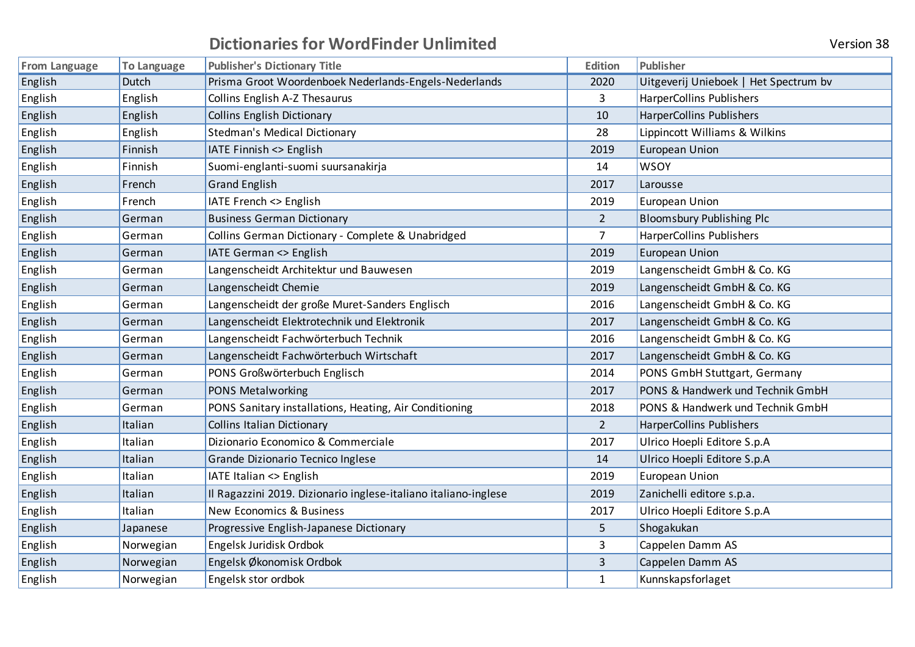| <b>From Language</b> | To Language | <b>Publisher's Dictionary Title</b>                             | Edition        | Publisher                             |
|----------------------|-------------|-----------------------------------------------------------------|----------------|---------------------------------------|
| English              | Dutch       | Prisma Groot Woordenboek Nederlands-Engels-Nederlands           | 2020           | Uitgeverij Unieboek   Het Spectrum bv |
| English              | English     | Collins English A-Z Thesaurus                                   | 3              | HarperCollins Publishers              |
| English              | English     | <b>Collins English Dictionary</b>                               | 10             | HarperCollins Publishers              |
| English              | English     | <b>Stedman's Medical Dictionary</b>                             | 28             | Lippincott Williams & Wilkins         |
| English              | Finnish     | IATE Finnish <> English                                         | 2019           | <b>European Union</b>                 |
| English              | Finnish     | Suomi-englanti-suomi suursanakirja                              | 14             | <b>WSOY</b>                           |
| English              | French      | <b>Grand English</b>                                            | 2017           | Larousse                              |
| English              | French      | IATE French <> English                                          | 2019           | <b>European Union</b>                 |
| English              | German      | <b>Business German Dictionary</b>                               | $\overline{2}$ | <b>Bloomsbury Publishing Plc</b>      |
| English              | German      | Collins German Dictionary - Complete & Unabridged               | $\overline{7}$ | HarperCollins Publishers              |
| English              | German      | IATE German <> English                                          | 2019           | European Union                        |
| English              | German      | Langenscheidt Architektur und Bauwesen                          | 2019           | Langenscheidt GmbH & Co. KG           |
| English              | German      | Langenscheidt Chemie                                            | 2019           | Langenscheidt GmbH & Co. KG           |
| English              | German      | Langenscheidt der große Muret-Sanders Englisch                  | 2016           | Langenscheidt GmbH & Co. KG           |
| English              | German      | Langenscheidt Elektrotechnik und Elektronik                     | 2017           | Langenscheidt GmbH & Co. KG           |
| English              | German      | Langenscheidt Fachwörterbuch Technik                            | 2016           | Langenscheidt GmbH & Co. KG           |
| English              | German      | Langenscheidt Fachwörterbuch Wirtschaft                         | 2017           | Langenscheidt GmbH & Co. KG           |
| English              | German      | PONS Großwörterbuch Englisch                                    | 2014           | PONS GmbH Stuttgart, Germany          |
| English              | German      | PONS Metalworking                                               | 2017           | PONS & Handwerk und Technik GmbH      |
| English              | German      | PONS Sanitary installations, Heating, Air Conditioning          | 2018           | PONS & Handwerk und Technik GmbH      |
| English              | Italian     | <b>Collins Italian Dictionary</b>                               | $\overline{2}$ | HarperCollins Publishers              |
| English              | Italian     | Dizionario Economico & Commerciale                              | 2017           | Ulrico Hoepli Editore S.p.A           |
| English              | Italian     | Grande Dizionario Tecnico Inglese                               | 14             | Ulrico Hoepli Editore S.p.A           |
| English              | Italian     | IATE Italian <> English                                         | 2019           | European Union                        |
| English              | Italian     | Il Ragazzini 2019. Dizionario inglese-italiano italiano-inglese | 2019           | Zanichelli editore s.p.a.             |
| English              | Italian     | <b>New Economics &amp; Business</b>                             | 2017           | Ulrico Hoepli Editore S.p.A           |
| English              | Japanese    | Progressive English-Japanese Dictionary                         | 5              | Shogakukan                            |
| English              | Norwegian   | Engelsk Juridisk Ordbok                                         | 3              | Cappelen Damm AS                      |
| English              | Norwegian   | Engelsk Økonomisk Ordbok                                        | 3              | Cappelen Damm AS                      |
| English              | Norwegian   | Engelsk stor ordbok                                             | $\mathbf{1}$   | Kunnskapsforlaget                     |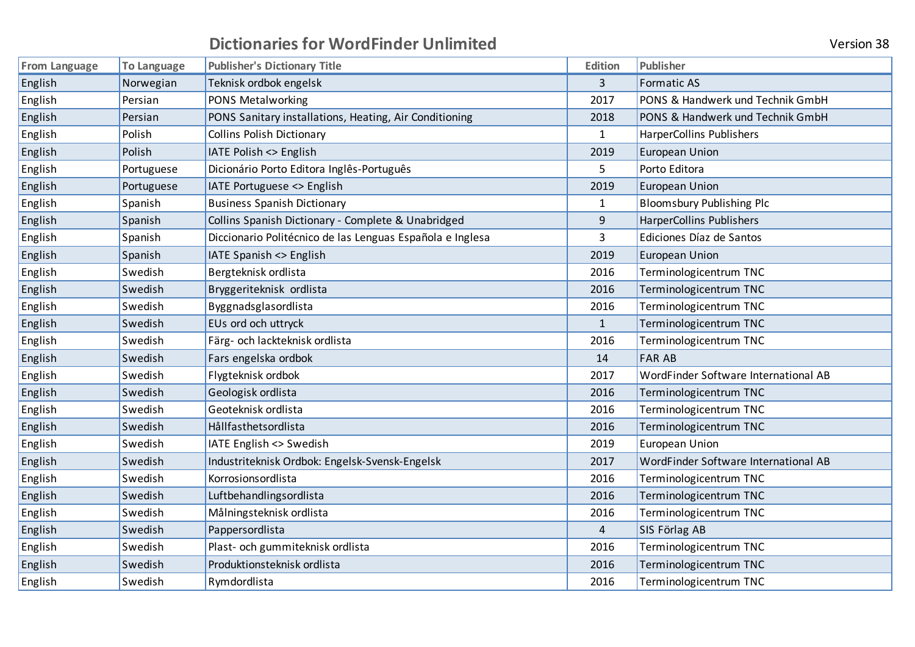| <b>From Language</b> | <b>To Language</b> | <b>Publisher's Dictionary Title</b>                       | Edition        | Publisher                            |
|----------------------|--------------------|-----------------------------------------------------------|----------------|--------------------------------------|
| English              | Norwegian          | Teknisk ordbok engelsk                                    | $\overline{3}$ | <b>Formatic AS</b>                   |
| English              | Persian            | PONS Metalworking                                         | 2017           | PONS & Handwerk und Technik GmbH     |
| English              | Persian            | PONS Sanitary installations, Heating, Air Conditioning    | 2018           | PONS & Handwerk und Technik GmbH     |
| English              | Polish             | <b>Collins Polish Dictionary</b>                          | $\mathbf{1}$   | <b>HarperCollins Publishers</b>      |
| English              | Polish             | IATE Polish <> English                                    | 2019           | <b>European Union</b>                |
| English              | Portuguese         | Dicionário Porto Editora Inglês-Português                 | 5              | Porto Editora                        |
| English              | Portuguese         | IATE Portuguese <> English                                | 2019           | European Union                       |
| English              | Spanish            | <b>Business Spanish Dictionary</b>                        | $\mathbf{1}$   | <b>Bloomsbury Publishing Plc</b>     |
| English              | Spanish            | Collins Spanish Dictionary - Complete & Unabridged        | 9              | <b>HarperCollins Publishers</b>      |
| English              | Spanish            | Diccionario Politécnico de las Lenguas Española e Inglesa | 3              | Ediciones Díaz de Santos             |
| English              | Spanish            | IATE Spanish <> English                                   | 2019           | European Union                       |
| English              | Swedish            | Bergteknisk ordlista                                      | 2016           | Terminologicentrum TNC               |
| English              | Swedish            | Bryggeriteknisk ordlista                                  | 2016           | Terminologicentrum TNC               |
| English              | Swedish            | Byggnadsglasordlista                                      | 2016           | Terminologicentrum TNC               |
| English              | Swedish            | EUs ord och uttryck                                       | $\mathbf{1}$   | Terminologicentrum TNC               |
| English              | Swedish            | Färg- och lackteknisk ordlista                            | 2016           | Terminologicentrum TNC               |
| English              | Swedish            | Fars engelska ordbok                                      | 14             | <b>FAR AB</b>                        |
| English              | Swedish            | Flygteknisk ordbok                                        | 2017           | WordFinder Software International AB |
| English              | Swedish            | Geologisk ordlista                                        | 2016           | Terminologicentrum TNC               |
| English              | Swedish            | Geoteknisk ordlista                                       | 2016           | Terminologicentrum TNC               |
| English              | Swedish            | Hållfasthetsordlista                                      | 2016           | Terminologicentrum TNC               |
| English              | Swedish            | IATE English <> Swedish                                   | 2019           | <b>European Union</b>                |
| English              | Swedish            | Industriteknisk Ordbok: Engelsk-Svensk-Engelsk            | 2017           | WordFinder Software International AB |
| English              | Swedish            | Korrosionsordlista                                        | 2016           | Terminologicentrum TNC               |
| English              | Swedish            | Luftbehandlingsordlista                                   | 2016           | Terminologicentrum TNC               |
| English              | Swedish            | Målningsteknisk ordlista                                  | 2016           | Terminologicentrum TNC               |
| English              | Swedish            | Pappersordlista                                           | 4              | SIS Förlag AB                        |
| English              | Swedish            | Plast- och gummiteknisk ordlista                          | 2016           | Terminologicentrum TNC               |
| English              | Swedish            | Produktionsteknisk ordlista                               | 2016           | Terminologicentrum TNC               |
| English              | Swedish            | Rymdordlista                                              | 2016           | Terminologicentrum TNC               |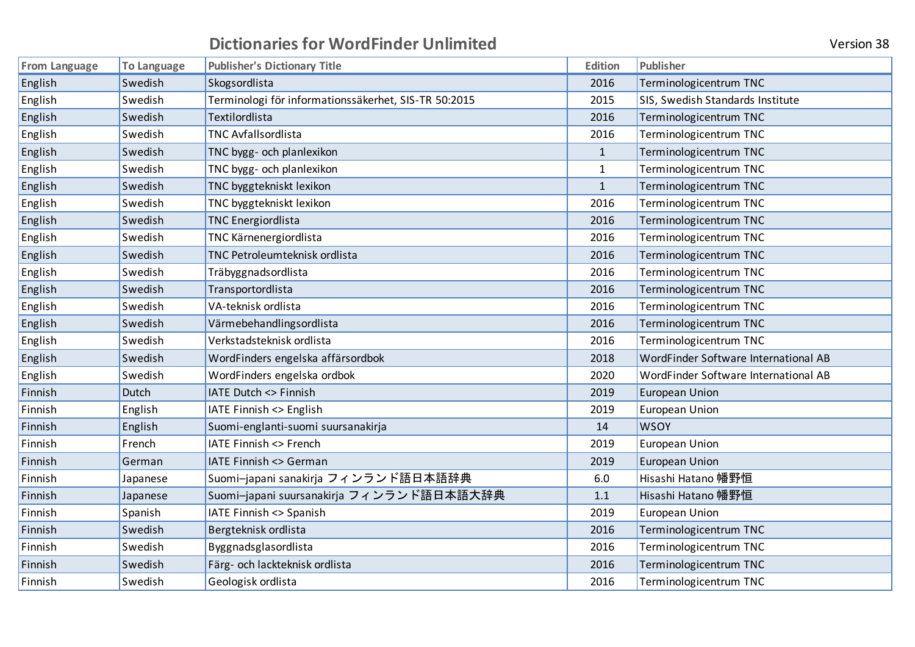|  |  | <b>Version 38</b> |  |
|--|--|-------------------|--|
|--|--|-------------------|--|

| <b>From Language</b> | <b>To Language</b> | <b>Publisher's Dictionary Title</b>                  | <b>Edition</b> | Publisher                            |
|----------------------|--------------------|------------------------------------------------------|----------------|--------------------------------------|
| English              | Swedish            | Skogsordlista                                        | 2016           | Terminologicentrum TNC               |
| English              | Swedish            | Terminologi för informationssäkerhet, SIS-TR 50:2015 | 2015           | SIS, Swedish Standards Institute     |
| English              | Swedish            | Textilordlista                                       | 2016           | Terminologicentrum TNC               |
| English              | Swedish            | <b>TNC Avfallsordlista</b>                           | 2016           | Terminologicentrum TNC               |
| English              | Swedish            | TNC bygg- och planlexikon                            | $\mathbf{1}$   | Terminologicentrum TNC               |
| English              | Swedish            | TNC bygg- och planlexikon                            | $\mathbf{1}$   | Terminologicentrum TNC               |
| English              | Swedish            | TNC byggtekniskt lexikon                             | $\mathbf{1}$   | Terminologicentrum TNC               |
| English              | Swedish            | TNC byggtekniskt lexikon                             | 2016           | Terminologicentrum TNC               |
| English              | Swedish            | <b>TNC Energiordlista</b>                            | 2016           | Terminologicentrum TNC               |
| English              | Swedish            | TNC Kärnenergiordlista                               | 2016           | Terminologicentrum TNC               |
| English              | Swedish            | TNC Petroleumteknisk ordlista                        | 2016           | Terminologicentrum TNC               |
| English              | Swedish            | Träbyggnadsordlista                                  | 2016           | Terminologicentrum TNC               |
| English              | Swedish            | Transportordlista                                    | 2016           | Terminologicentrum TNC               |
| English              | Swedish            | VA-teknisk ordlista                                  | 2016           | Terminologicentrum TNC               |
| English              | Swedish            | Värmebehandlingsordlista                             | 2016           | Terminologicentrum TNC               |
| English              | Swedish            | Verkstadsteknisk ordlista                            | 2016           | Terminologicentrum TNC               |
| English              | Swedish            | WordFinders engelska affärsordbok                    | 2018           | WordFinder Software International AB |
| English              | Swedish            | WordFinders engelska ordbok                          | 2020           | WordFinder Software International AB |
| Finnish              | Dutch              | <b>IATE Dutch &lt;&gt; Finnish</b>                   | 2019           | <b>European Union</b>                |
| Finnish              | English            | IATE Finnish <> English                              | 2019           | <b>European Union</b>                |
| Finnish              | English            | Suomi-englanti-suomi suursanakirja                   | 14             | <b>WSOY</b>                          |
| Finnish              | French             | <b>IATE Finnish &lt;&gt; French</b>                  | 2019           | European Union                       |
| Finnish              | German             | <b>IATE Finnish &lt;&gt; German</b>                  | 2019           | <b>European Union</b>                |
| Finnish              | Japanese           | Suomi-japani sanakirja フィンランド語日本語辞典                  | 6.0            | Hisashi Hatano 幡野恒                   |
| Finnish              | Japanese           | Suomi-japani suursanakirja フィンランド語日本語大辞典             | 1.1            | Hisashi Hatano 幡野恒                   |
| Finnish              | Spanish            | IATE Finnish <> Spanish                              | 2019           | <b>European Union</b>                |
| Finnish              | Swedish            | Bergteknisk ordlista                                 | 2016           | Terminologicentrum TNC               |
| Finnish              | Swedish            | Byggnadsglasordlista                                 | 2016           | Terminologicentrum TNC               |
| Finnish              | Swedish            | Färg- och lackteknisk ordlista                       | 2016           | Terminologicentrum TNC               |
| Finnish              | Swedish            | Geologisk ordlista                                   | 2016           | Terminologicentrum TNC               |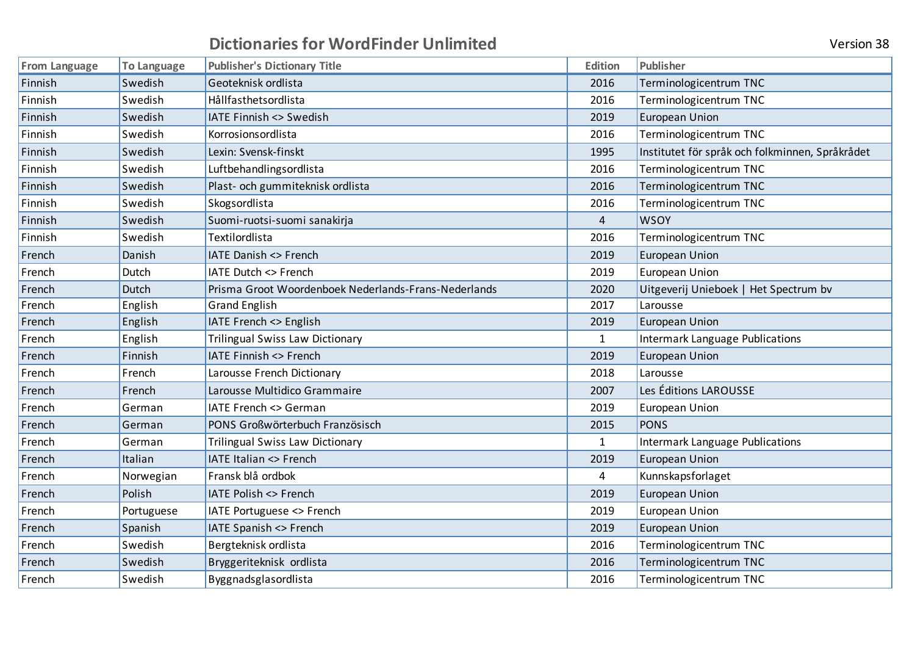| <b>Version 38</b> |  |
|-------------------|--|
|-------------------|--|

| <b>From Language</b> | <b>To Language</b> | <b>Publisher's Dictionary Title</b>                  | <b>Edition</b> | Publisher                                       |
|----------------------|--------------------|------------------------------------------------------|----------------|-------------------------------------------------|
| Finnish              | Swedish            | Geoteknisk ordlista                                  | 2016           | Terminologicentrum TNC                          |
| Finnish              | Swedish            | Hållfasthetsordlista                                 | 2016           | Terminologicentrum TNC                          |
| Finnish              | Swedish            | <b>IATE Finnish &lt;&gt; Swedish</b>                 | 2019           | <b>European Union</b>                           |
| Finnish              | Swedish            | Korrosionsordlista                                   | 2016           | Terminologicentrum TNC                          |
| Finnish              | Swedish            | Lexin: Svensk-finskt                                 | 1995           | Institutet för språk och folkminnen, Språkrådet |
| Finnish              | Swedish            | Luftbehandlingsordlista                              | 2016           | Terminologicentrum TNC                          |
| Finnish              | Swedish            | Plast- och gummiteknisk ordlista                     | 2016           | Terminologicentrum TNC                          |
| Finnish              | Swedish            | Skogsordlista                                        | 2016           | Terminologicentrum TNC                          |
| Finnish              | Swedish            | Suomi-ruotsi-suomi sanakirja                         | $\overline{4}$ | <b>WSOY</b>                                     |
| Finnish              | Swedish            | Textilordlista                                       | 2016           | Terminologicentrum TNC                          |
| French               | Danish             | <b>IATE Danish &lt;&gt; French</b>                   | 2019           | <b>European Union</b>                           |
| French               | Dutch              | IATE Dutch <> French                                 | 2019           | <b>European Union</b>                           |
| French               | Dutch              | Prisma Groot Woordenboek Nederlands-Frans-Nederlands | 2020           | Uitgeverij Unieboek   Het Spectrum bv           |
| French               | English            | <b>Grand English</b>                                 | 2017           | Larousse                                        |
| French               | English            | IATE French <> English                               | 2019           | <b>European Union</b>                           |
| French               | English            | <b>Trilingual Swiss Law Dictionary</b>               | $\mathbf{1}$   | <b>Intermark Language Publications</b>          |
| French               | Finnish            | IATE Finnish <> French                               | 2019           | <b>European Union</b>                           |
| French               | French             | Larousse French Dictionary                           | 2018           | Larousse                                        |
| French               | French             | Larousse Multidico Grammaire                         | 2007           | Les Éditions LAROUSSE                           |
| French               | German             | <b>IATE French &lt;&gt; German</b>                   | 2019           | <b>European Union</b>                           |
| French               | German             | PONS Großwörterbuch Französisch                      | 2015           | <b>PONS</b>                                     |
| French               | German             | Trilingual Swiss Law Dictionary                      | 1              | <b>Intermark Language Publications</b>          |
| French               | Italian            | <b>IATE Italian &lt;&gt; French</b>                  | 2019           | European Union                                  |
| French               | Norwegian          | Fransk blå ordbok                                    | 4              | Kunnskapsforlaget                               |
| French               | Polish             | <b>IATE Polish &lt;&gt; French</b>                   | 2019           | <b>European Union</b>                           |
| French               | Portuguese         | IATE Portuguese <> French                            | 2019           | <b>European Union</b>                           |
| French               | Spanish            | IATE Spanish <> French                               | 2019           | European Union                                  |
| French               | Swedish            | Bergteknisk ordlista                                 | 2016           | Terminologicentrum TNC                          |
| French               | Swedish            | Bryggeriteknisk ordlista                             | 2016           | Terminologicentrum TNC                          |
| French               | Swedish            | Byggnadsglasordlista                                 | 2016           | Terminologicentrum TNC                          |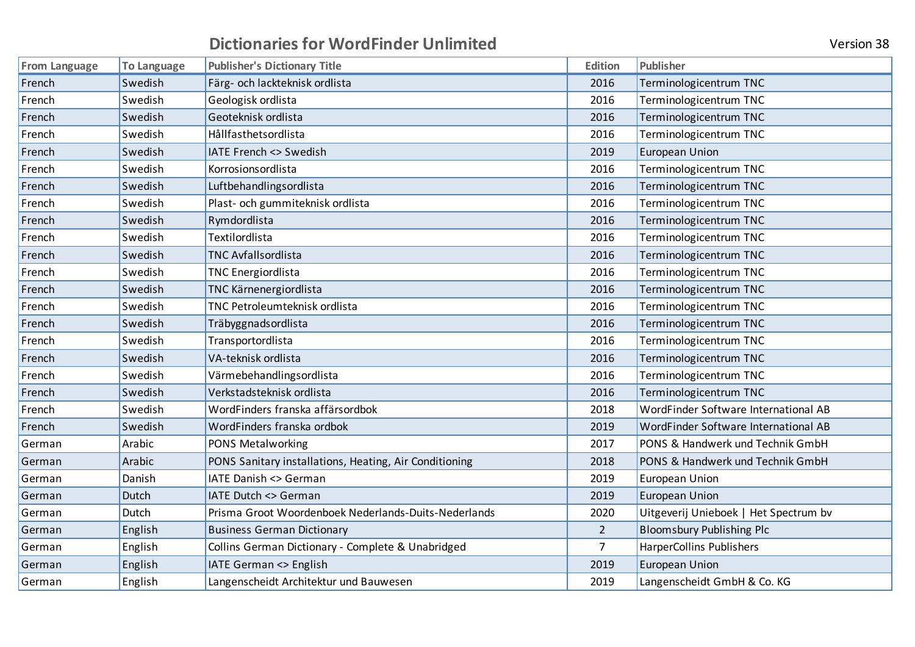| Version 38 |  |
|------------|--|
|            |  |

| <b>From Language</b> | <b>To Language</b> | <b>Publisher's Dictionary Title</b>                    | <b>Edition</b> | Publisher                             |
|----------------------|--------------------|--------------------------------------------------------|----------------|---------------------------------------|
| French               | Swedish            | Färg- och lackteknisk ordlista                         | 2016           | Terminologicentrum TNC                |
| French               | Swedish            | Geologisk ordlista                                     | 2016           | Terminologicentrum TNC                |
| French               | Swedish            | Geoteknisk ordlista                                    | 2016           | Terminologicentrum TNC                |
| French               | Swedish            | Hållfasthetsordlista                                   | 2016           | Terminologicentrum TNC                |
| French               | Swedish            | IATE French <> Swedish                                 | 2019           | <b>European Union</b>                 |
| French               | Swedish            | Korrosionsordlista                                     | 2016           | Terminologicentrum TNC                |
| French               | Swedish            | Luftbehandlingsordlista                                | 2016           | Terminologicentrum TNC                |
| French               | Swedish            | Plast- och gummiteknisk ordlista                       | 2016           | Terminologicentrum TNC                |
| French               | Swedish            | Rymdordlista                                           | 2016           | Terminologicentrum TNC                |
| French               | Swedish            | Textilordlista                                         | 2016           | Terminologicentrum TNC                |
| French               | Swedish            | <b>TNC Avfallsordlista</b>                             | 2016           | Terminologicentrum TNC                |
| French               | Swedish            | <b>TNC Energiordlista</b>                              | 2016           | Terminologicentrum TNC                |
| French               | Swedish            | TNC Kärnenergiordlista                                 | 2016           | Terminologicentrum TNC                |
| French               | Swedish            | TNC Petroleumteknisk ordlista                          | 2016           | Terminologicentrum TNC                |
| French               | Swedish            | Träbyggnadsordlista                                    | 2016           | Terminologicentrum TNC                |
| French               | Swedish            | Transportordlista                                      | 2016           | Terminologicentrum TNC                |
| French               | Swedish            | VA-teknisk ordlista                                    | 2016           | Terminologicentrum TNC                |
| French               | Swedish            | Värmebehandlingsordlista                               | 2016           | Terminologicentrum TNC                |
| French               | Swedish            | Verkstadsteknisk ordlista                              | 2016           | Terminologicentrum TNC                |
| French               | Swedish            | WordFinders franska affärsordbok                       | 2018           | WordFinder Software International AB  |
| French               | Swedish            | WordFinders franska ordbok                             | 2019           | WordFinder Software International AB  |
| German               | Arabic             | PONS Metalworking                                      | 2017           | PONS & Handwerk und Technik GmbH      |
| German               | Arabic             | PONS Sanitary installations, Heating, Air Conditioning | 2018           | PONS & Handwerk und Technik GmbH      |
| German               | Danish             | IATE Danish <> German                                  | 2019           | <b>European Union</b>                 |
| German               | Dutch              | IATE Dutch <> German                                   | 2019           | <b>European Union</b>                 |
| German               | Dutch              | Prisma Groot Woordenboek Nederlands-Duits-Nederlands   | 2020           | Uitgeverij Unieboek   Het Spectrum bv |
| German               | English            | <b>Business German Dictionary</b>                      | $\overline{2}$ | <b>Bloomsbury Publishing Plc</b>      |
| German               | English            | Collins German Dictionary - Complete & Unabridged      | 7              | <b>HarperCollins Publishers</b>       |
| German               | English            | IATE German <> English                                 | 2019           | <b>European Union</b>                 |
| German               | English            | Langenscheidt Architektur und Bauwesen                 | 2019           | Langenscheidt GmbH & Co. KG           |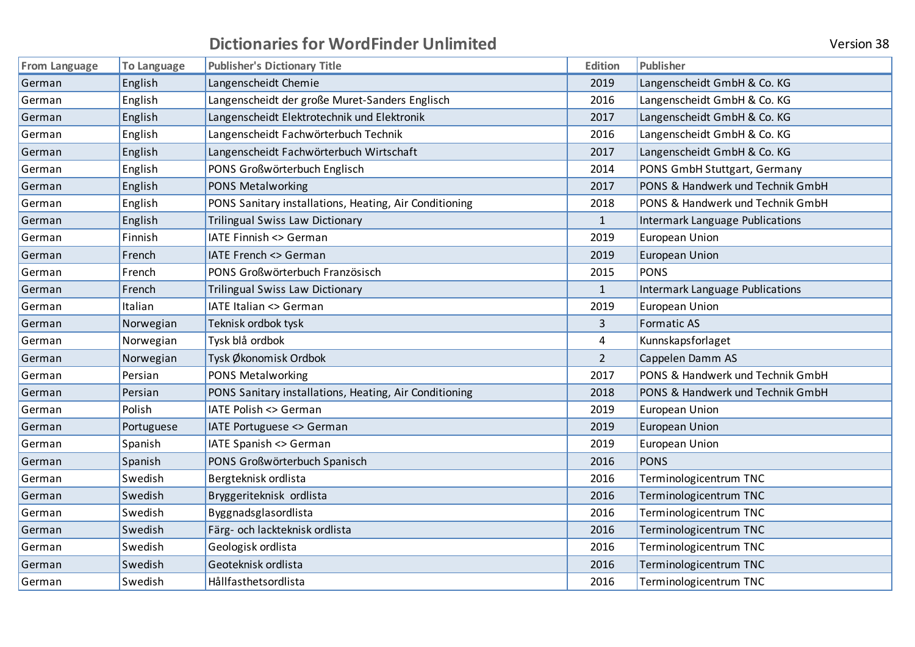| <b>Version 38</b> |  |
|-------------------|--|
|                   |  |

| <b>From Language</b> | <b>To Language</b> | <b>Publisher's Dictionary Title</b>                    | <b>Edition</b> | <b>Publisher</b>                       |
|----------------------|--------------------|--------------------------------------------------------|----------------|----------------------------------------|
| German               | English            | Langenscheidt Chemie                                   | 2019           | Langenscheidt GmbH & Co. KG            |
| German               | English            | Langenscheidt der große Muret-Sanders Englisch         | 2016           | Langenscheidt GmbH & Co. KG            |
| German               | English            | Langenscheidt Elektrotechnik und Elektronik            | 2017           | Langenscheidt GmbH & Co. KG            |
| German               | English            | Langenscheidt Fachwörterbuch Technik                   | 2016           | Langenscheidt GmbH & Co. KG            |
| German               | English            | Langenscheidt Fachwörterbuch Wirtschaft                | 2017           | Langenscheidt GmbH & Co. KG            |
| German               | English            | PONS Großwörterbuch Englisch                           | 2014           | PONS GmbH Stuttgart, Germany           |
| German               | English            | PONS Metalworking                                      | 2017           | PONS & Handwerk und Technik GmbH       |
| German               | English            | PONS Sanitary installations, Heating, Air Conditioning | 2018           | PONS & Handwerk und Technik GmbH       |
| German               | English            | <b>Trilingual Swiss Law Dictionary</b>                 | $\mathbf{1}$   | Intermark Language Publications        |
| German               | Finnish            | IATE Finnish <> German                                 | 2019           | European Union                         |
| German               | French             | IATE French <> German                                  | 2019           | European Union                         |
| German               | French             | PONS Großwörterbuch Französisch                        | 2015           | <b>PONS</b>                            |
| German               | French             | Trilingual Swiss Law Dictionary                        | $\mathbf{1}$   | <b>Intermark Language Publications</b> |
| German               | Italian            | IATE Italian <> German                                 | 2019           | <b>European Union</b>                  |
| German               | Norwegian          | Teknisk ordbok tysk                                    | 3              | <b>Formatic AS</b>                     |
| German               | Norwegian          | Tysk blå ordbok                                        | 4              | Kunnskapsforlaget                      |
| German               | Norwegian          | Tysk Økonomisk Ordbok                                  | $\overline{2}$ | Cappelen Damm AS                       |
| German               | Persian            | PONS Metalworking                                      | 2017           | PONS & Handwerk und Technik GmbH       |
| German               | Persian            | PONS Sanitary installations, Heating, Air Conditioning | 2018           | PONS & Handwerk und Technik GmbH       |
| German               | Polish             | IATE Polish <> German                                  | 2019           | <b>European Union</b>                  |
| German               | Portuguese         | IATE Portuguese <> German                              | 2019           | European Union                         |
| German               | Spanish            | IATE Spanish <> German                                 | 2019           | <b>European Union</b>                  |
| German               | Spanish            | PONS Großwörterbuch Spanisch                           | 2016           | <b>PONS</b>                            |
| German               | Swedish            | Bergteknisk ordlista                                   | 2016           | Terminologicentrum TNC                 |
| German               | Swedish            | Bryggeriteknisk ordlista                               | 2016           | Terminologicentrum TNC                 |
| German               | Swedish            | Byggnadsglasordlista                                   | 2016           | Terminologicentrum TNC                 |
| German               | Swedish            | Färg- och lackteknisk ordlista                         | 2016           | Terminologicentrum TNC                 |
| German               | Swedish            | Geologisk ordlista                                     | 2016           | Terminologicentrum TNC                 |
| German               | Swedish            | Geoteknisk ordlista                                    | 2016           | Terminologicentrum TNC                 |
| German               | Swedish            | Hållfasthetsordlista                                   | 2016           | Terminologicentrum TNC                 |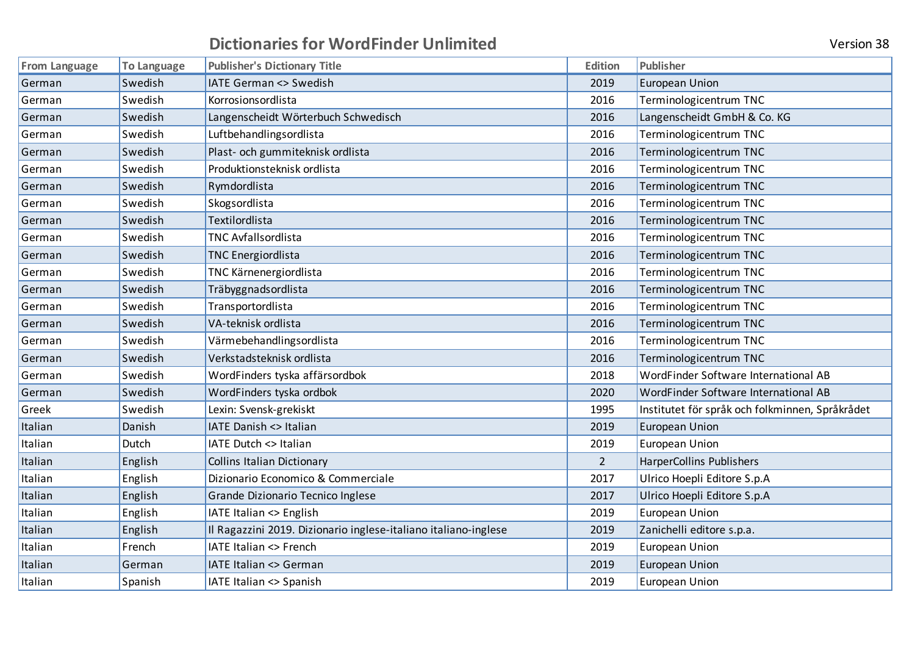| <b>From Language</b> | <b>To Language</b> | <b>Publisher's Dictionary Title</b>                             | <b>Edition</b> | Publisher                                       |
|----------------------|--------------------|-----------------------------------------------------------------|----------------|-------------------------------------------------|
| German               | Swedish            | <b>IATE German &lt;&gt; Swedish</b>                             | 2019           | <b>European Union</b>                           |
| German               | Swedish            | Korrosionsordlista                                              | 2016           | Terminologicentrum TNC                          |
| German               | Swedish            | Langenscheidt Wörterbuch Schwedisch                             | 2016           | Langenscheidt GmbH & Co. KG                     |
| German               | Swedish            | Luftbehandlingsordlista                                         | 2016           | Terminologicentrum TNC                          |
| German               | Swedish            | Plast- och gummiteknisk ordlista                                | 2016           | Terminologicentrum TNC                          |
| German               | Swedish            | Produktionsteknisk ordlista                                     | 2016           | Terminologicentrum TNC                          |
| German               | Swedish            | Rymdordlista                                                    | 2016           | Terminologicentrum TNC                          |
| German               | Swedish            | Skogsordlista                                                   | 2016           | Terminologicentrum TNC                          |
| German               | Swedish            | Textilordlista                                                  | 2016           | Terminologicentrum TNC                          |
| German               | Swedish            | TNC Avfallsordlista                                             | 2016           | Terminologicentrum TNC                          |
| German               | Swedish            | <b>TNC Energiordlista</b>                                       | 2016           | Terminologicentrum TNC                          |
| German               | Swedish            | TNC Kärnenergiordlista                                          | 2016           | Terminologicentrum TNC                          |
| German               | Swedish            | Träbyggnadsordlista                                             | 2016           | Terminologicentrum TNC                          |
| German               | Swedish            | Transportordlista                                               | 2016           | Terminologicentrum TNC                          |
| German               | Swedish            | VA-teknisk ordlista                                             | 2016           | Terminologicentrum TNC                          |
| German               | Swedish            | Värmebehandlingsordlista                                        | 2016           | Terminologicentrum TNC                          |
| German               | Swedish            | Verkstadsteknisk ordlista                                       | 2016           | Terminologicentrum TNC                          |
| German               | Swedish            | WordFinders tyska affärsordbok                                  | 2018           | WordFinder Software International AB            |
| German               | Swedish            | WordFinders tyska ordbok                                        | 2020           | WordFinder Software International AB            |
| Greek                | Swedish            | Lexin: Svensk-grekiskt                                          | 1995           | Institutet för språk och folkminnen, Språkrådet |
| Italian              | Danish             | <b>IATE Danish &lt;&gt; Italian</b>                             | 2019           | <b>European Union</b>                           |
| Italian              | Dutch              | <b>IATE Dutch &lt;&gt; Italian</b>                              | 2019           | <b>European Union</b>                           |
| Italian              | English            | <b>Collins Italian Dictionary</b>                               | $\overline{2}$ | HarperCollins Publishers                        |
| Italian              | English            | Dizionario Economico & Commerciale                              | 2017           | Ulrico Hoepli Editore S.p.A                     |
| Italian              | English            | Grande Dizionario Tecnico Inglese                               | 2017           | Ulrico Hoepli Editore S.p.A                     |
| Italian              | English            | <b>IATE Italian &lt;&gt; English</b>                            | 2019           | <b>European Union</b>                           |
| Italian              | English            | Il Ragazzini 2019. Dizionario inglese-italiano italiano-inglese | 2019           | Zanichelli editore s.p.a.                       |
| Italian              | French             | <b>IATE Italian &lt;&gt; French</b>                             | 2019           | European Union                                  |
| Italian              | German             | IATE Italian <> German                                          | 2019           | <b>European Union</b>                           |
| Italian              | Spanish            | IATE Italian <> Spanish                                         | 2019           | European Union                                  |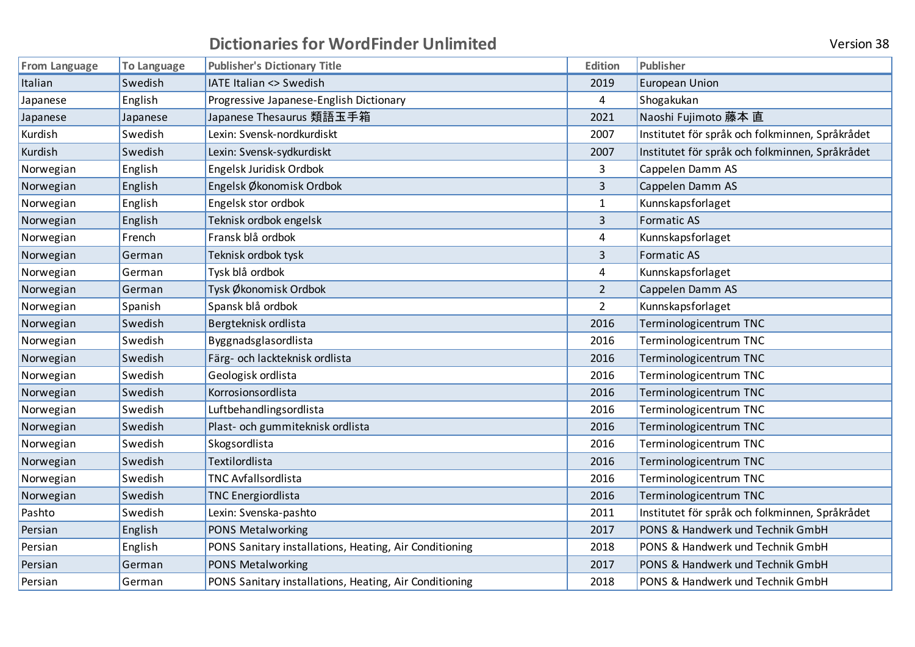| Version 38 |  |
|------------|--|
|            |  |

| <b>From Language</b> | <b>To Language</b> | <b>Publisher's Dictionary Title</b>                    | <b>Edition</b> | Publisher                                       |
|----------------------|--------------------|--------------------------------------------------------|----------------|-------------------------------------------------|
| Italian              | Swedish            | IATE Italian <> Swedish                                | 2019           | <b>European Union</b>                           |
| Japanese             | English            | Progressive Japanese-English Dictionary                | 4              | Shogakukan                                      |
| Japanese             | Japanese           | Japanese Thesaurus 類語玉手箱                               | 2021           | Naoshi Fujimoto 藤本 直                            |
| Kurdish              | Swedish            | Lexin: Svensk-nordkurdiskt                             | 2007           | Institutet för språk och folkminnen, Språkrådet |
| Kurdish              | Swedish            | Lexin: Svensk-sydkurdiskt                              | 2007           | Institutet för språk och folkminnen, Språkrådet |
| Norwegian            | English            | Engelsk Juridisk Ordbok                                | 3              | Cappelen Damm AS                                |
| Norwegian            | English            | Engelsk Økonomisk Ordbok                               | 3              | Cappelen Damm AS                                |
| Norwegian            | English            | Engelsk stor ordbok                                    | $\mathbf{1}$   | Kunnskapsforlaget                               |
| Norwegian            | English            | Teknisk ordbok engelsk                                 | 3              | <b>Formatic AS</b>                              |
| Norwegian            | French             | Fransk blå ordbok                                      | 4              | Kunnskapsforlaget                               |
| Norwegian            | German             | Teknisk ordbok tysk                                    | 3              | <b>Formatic AS</b>                              |
| Norwegian            | German             | Tysk blå ordbok                                        | 4              | Kunnskapsforlaget                               |
| Norwegian            | German             | Tysk Økonomisk Ordbok                                  | $\overline{2}$ | Cappelen Damm AS                                |
| Norwegian            | Spanish            | Spansk blå ordbok                                      | $\overline{2}$ | Kunnskapsforlaget                               |
| Norwegian            | Swedish            | Bergteknisk ordlista                                   | 2016           | Terminologicentrum TNC                          |
| Norwegian            | Swedish            | Byggnadsglasordlista                                   | 2016           | Terminologicentrum TNC                          |
| Norwegian            | Swedish            | Färg- och lackteknisk ordlista                         | 2016           | Terminologicentrum TNC                          |
| Norwegian            | Swedish            | Geologisk ordlista                                     | 2016           | Terminologicentrum TNC                          |
| Norwegian            | Swedish            | Korrosionsordlista                                     | 2016           | Terminologicentrum TNC                          |
| Norwegian            | Swedish            | Luftbehandlingsordlista                                | 2016           | Terminologicentrum TNC                          |
| Norwegian            | Swedish            | Plast- och gummiteknisk ordlista                       | 2016           | Terminologicentrum TNC                          |
| Norwegian            | Swedish            | Skogsordlista                                          | 2016           | Terminologicentrum TNC                          |
| Norwegian            | Swedish            | Textilordlista                                         | 2016           | Terminologicentrum TNC                          |
| Norwegian            | Swedish            | <b>TNC Avfallsordlista</b>                             | 2016           | Terminologicentrum TNC                          |
| Norwegian            | Swedish            | <b>TNC Energiordlista</b>                              | 2016           | Terminologicentrum TNC                          |
| Pashto               | Swedish            | Lexin: Svenska-pashto                                  | 2011           | Institutet för språk och folkminnen, Språkrådet |
| Persian              | English            | PONS Metalworking                                      | 2017           | PONS & Handwerk und Technik GmbH                |
| Persian              | English            | PONS Sanitary installations, Heating, Air Conditioning | 2018           | PONS & Handwerk und Technik GmbH                |
| Persian              | German             | PONS Metalworking                                      | 2017           | PONS & Handwerk und Technik GmbH                |
| Persian              | German             | PONS Sanitary installations, Heating, Air Conditioning | 2018           | PONS & Handwerk und Technik GmbH                |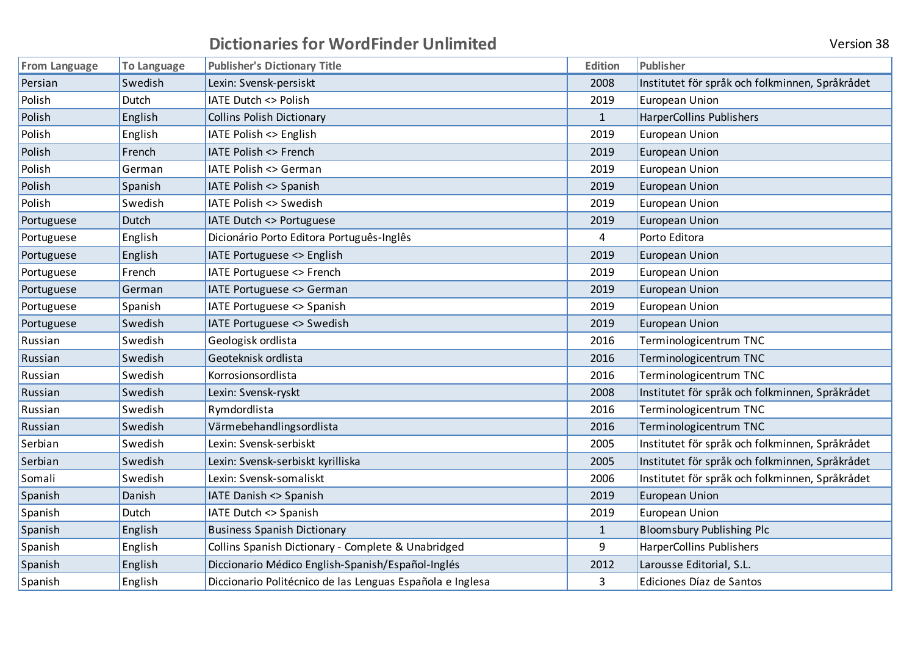| <b>Version 3</b> |  |
|------------------|--|

| <b>From Language</b> | <b>To Language</b> | <b>Publisher's Dictionary Title</b>                       | <b>Edition</b> | Publisher                                       |
|----------------------|--------------------|-----------------------------------------------------------|----------------|-------------------------------------------------|
| Persian              | Swedish            | Lexin: Svensk-persiskt                                    | 2008           | Institutet för språk och folkminnen, Språkrådet |
| Polish               | Dutch              | IATE Dutch <> Polish                                      | 2019           | <b>European Union</b>                           |
| Polish               | English            | <b>Collins Polish Dictionary</b>                          | $\mathbf{1}$   | HarperCollins Publishers                        |
| Polish               | English            | IATE Polish <> English                                    | 2019           | <b>European Union</b>                           |
| Polish               | French             | <b>IATE Polish &lt;&gt; French</b>                        | 2019           | <b>European Union</b>                           |
| Polish               | German             | IATE Polish <> German                                     | 2019           | <b>European Union</b>                           |
| Polish               | Spanish            | IATE Polish <> Spanish                                    | 2019           | <b>European Union</b>                           |
| Polish               | Swedish            | IATE Polish <> Swedish                                    | 2019           | <b>European Union</b>                           |
| Portuguese           | Dutch              | IATE Dutch <> Portuguese                                  | 2019           | <b>European Union</b>                           |
| Portuguese           | English            | Dicionário Porto Editora Português-Inglês                 | 4              | Porto Editora                                   |
| Portuguese           | English            | IATE Portuguese <> English                                | 2019           | <b>European Union</b>                           |
| Portuguese           | French             | IATE Portuguese <> French                                 | 2019           | <b>European Union</b>                           |
| Portuguese           | German             | IATE Portuguese <> German                                 | 2019           | <b>European Union</b>                           |
| Portuguese           | Spanish            | IATE Portuguese <> Spanish                                | 2019           | <b>European Union</b>                           |
| Portuguese           | Swedish            | IATE Portuguese <> Swedish                                | 2019           | <b>European Union</b>                           |
| Russian              | Swedish            | Geologisk ordlista                                        | 2016           | Terminologicentrum TNC                          |
| Russian              | Swedish            | Geoteknisk ordlista                                       | 2016           | Terminologicentrum TNC                          |
| Russian              | Swedish            | Korrosionsordlista                                        | 2016           | Terminologicentrum TNC                          |
| Russian              | Swedish            | Lexin: Svensk-ryskt                                       | 2008           | Institutet för språk och folkminnen, Språkrådet |
| Russian              | Swedish            | Rymdordlista                                              | 2016           | Terminologicentrum TNC                          |
| Russian              | Swedish            | Värmebehandlingsordlista                                  | 2016           | Terminologicentrum TNC                          |
| Serbian              | Swedish            | Lexin: Svensk-serbiskt                                    | 2005           | Institutet för språk och folkminnen, Språkrådet |
| Serbian              | Swedish            | Lexin: Svensk-serbiskt kyrilliska                         | 2005           | Institutet för språk och folkminnen, Språkrådet |
| Somali               | Swedish            | Lexin: Svensk-somaliskt                                   | 2006           | Institutet för språk och folkminnen, Språkrådet |
| Spanish              | Danish             | IATE Danish <> Spanish                                    | 2019           | <b>European Union</b>                           |
| Spanish              | Dutch              | IATE Dutch <> Spanish                                     | 2019           | European Union                                  |
| Spanish              | English            | <b>Business Spanish Dictionary</b>                        | $\mathbf{1}$   | <b>Bloomsbury Publishing Plc</b>                |
| Spanish              | English            | Collins Spanish Dictionary - Complete & Unabridged        | 9              | HarperCollins Publishers                        |
| Spanish              | English            | Diccionario Médico English-Spanish/Español-Inglés         | 2012           | Larousse Editorial, S.L.                        |
| Spanish              | English            | Diccionario Politécnico de las Lenguas Española e Inglesa | 3              | Ediciones Díaz de Santos                        |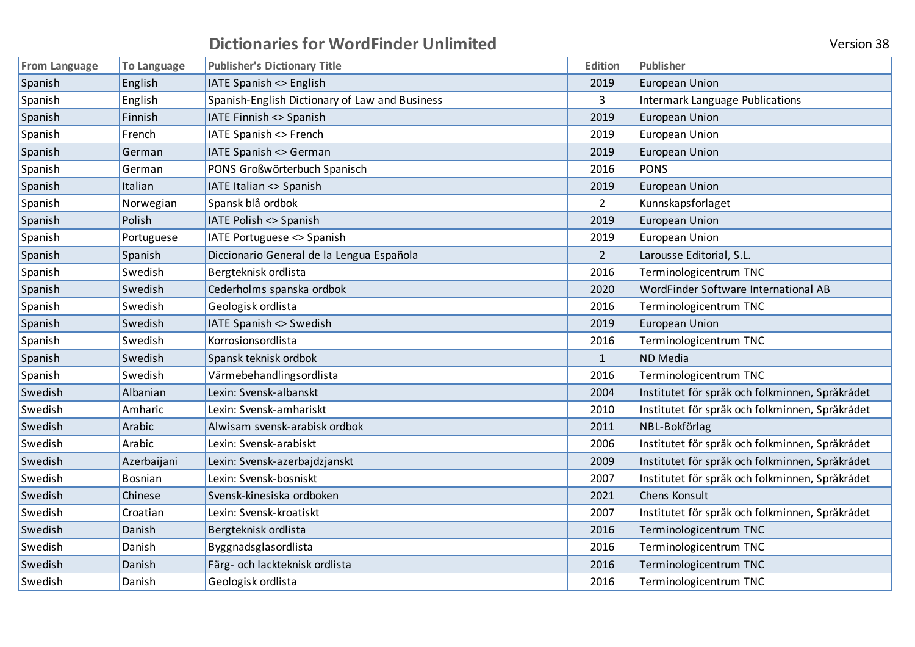| <b>Version 38</b> |  |
|-------------------|--|
|-------------------|--|

| <b>From Language</b> | <b>To Language</b> | <b>Publisher's Dictionary Title</b>            | <b>Edition</b> | Publisher                                       |
|----------------------|--------------------|------------------------------------------------|----------------|-------------------------------------------------|
| Spanish              | English            | IATE Spanish <> English                        | 2019           | <b>European Union</b>                           |
| Spanish              | English            | Spanish-English Dictionary of Law and Business | 3              | <b>Intermark Language Publications</b>          |
| Spanish              | Finnish            | IATE Finnish <> Spanish                        | 2019           | European Union                                  |
| Spanish              | French             | IATE Spanish <> French                         | 2019           | <b>European Union</b>                           |
| Spanish              | German             | IATE Spanish <> German                         | 2019           | <b>European Union</b>                           |
| Spanish              | German             | PONS Großwörterbuch Spanisch                   | 2016           | <b>PONS</b>                                     |
| Spanish              | Italian            | IATE Italian <> Spanish                        | 2019           | <b>European Union</b>                           |
| Spanish              | Norwegian          | Spansk blå ordbok                              | $\overline{2}$ | Kunnskapsforlaget                               |
| Spanish              | Polish             | IATE Polish <> Spanish                         | 2019           | <b>European Union</b>                           |
| Spanish              | Portuguese         | IATE Portuguese <> Spanish                     | 2019           | <b>European Union</b>                           |
| Spanish              | Spanish            | Diccionario General de la Lengua Española      | $\overline{2}$ | Larousse Editorial, S.L.                        |
| Spanish              | Swedish            | Bergteknisk ordlista                           | 2016           | Terminologicentrum TNC                          |
| Spanish              | Swedish            | Cederholms spanska ordbok                      | 2020           | WordFinder Software International AB            |
| Spanish              | Swedish            | Geologisk ordlista                             | 2016           | Terminologicentrum TNC                          |
| Spanish              | Swedish            | IATE Spanish <> Swedish                        | 2019           | <b>European Union</b>                           |
| Spanish              | Swedish            | Korrosionsordlista                             | 2016           | Terminologicentrum TNC                          |
| Spanish              | Swedish            | Spansk teknisk ordbok                          | $\mathbf{1}$   | <b>ND</b> Media                                 |
| Spanish              | Swedish            | Värmebehandlingsordlista                       | 2016           | Terminologicentrum TNC                          |
| Swedish              | Albanian           | Lexin: Svensk-albanskt                         | 2004           | Institutet för språk och folkminnen, Språkrådet |
| Swedish              | Amharic            | Lexin: Svensk-amhariskt                        | 2010           | Institutet för språk och folkminnen, Språkrådet |
| Swedish              | Arabic             | Alwisam svensk-arabisk ordbok                  | 2011           | NBL-Bokförlag                                   |
| Swedish              | Arabic             | Lexin: Svensk-arabiskt                         | 2006           | Institutet för språk och folkminnen, Språkrådet |
| Swedish              | Azerbaijani        | Lexin: Svensk-azerbajdzjanskt                  | 2009           | Institutet för språk och folkminnen, Språkrådet |
| Swedish              | Bosnian            | Lexin: Svensk-bosniskt                         | 2007           | Institutet för språk och folkminnen, Språkrådet |
| Swedish              | Chinese            | Svensk-kinesiska ordboken                      | 2021           | Chens Konsult                                   |
| Swedish              | Croatian           | Lexin: Svensk-kroatiskt                        | 2007           | Institutet för språk och folkminnen, Språkrådet |
| Swedish              | Danish             | Bergteknisk ordlista                           | 2016           | Terminologicentrum TNC                          |
| Swedish              | Danish             | Byggnadsglasordlista                           | 2016           | Terminologicentrum TNC                          |
| Swedish              | Danish             | Färg- och lackteknisk ordlista                 | 2016           | Terminologicentrum TNC                          |
| Swedish              | Danish             | Geologisk ordlista                             | 2016           | Terminologicentrum TNC                          |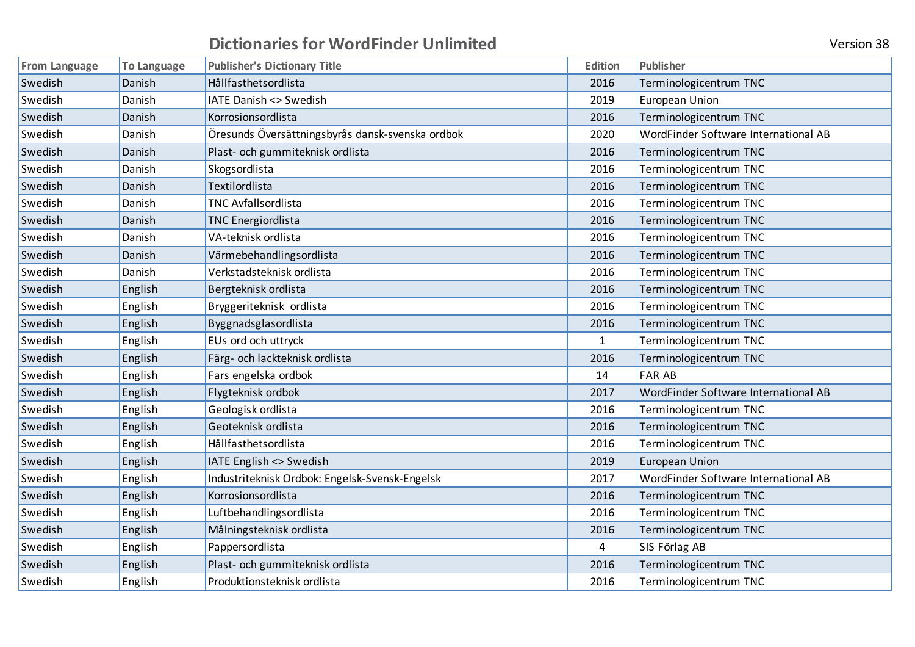|  |  | <b>Version 38</b> |  |
|--|--|-------------------|--|
|--|--|-------------------|--|

| <b>From Language</b> | <b>To Language</b> | <b>Publisher's Dictionary Title</b>              | <b>Edition</b> | Publisher                            |
|----------------------|--------------------|--------------------------------------------------|----------------|--------------------------------------|
| Swedish              | Danish             | Hållfasthetsordlista                             | 2016           | Terminologicentrum TNC               |
| Swedish              | Danish             | IATE Danish <> Swedish                           | 2019           | European Union                       |
| Swedish              | Danish             | Korrosionsordlista                               | 2016           | Terminologicentrum TNC               |
| Swedish              | Danish             | Öresunds Översättningsbyrås dansk-svenska ordbok | 2020           | WordFinder Software International AB |
| Swedish              | Danish             | Plast- och gummiteknisk ordlista                 | 2016           | Terminologicentrum TNC               |
| Swedish              | Danish             | Skogsordlista                                    | 2016           | Terminologicentrum TNC               |
| Swedish              | Danish             | Textilordlista                                   | 2016           | Terminologicentrum TNC               |
| Swedish              | Danish             | <b>TNC Avfallsordlista</b>                       | 2016           | Terminologicentrum TNC               |
| Swedish              | Danish             | <b>TNC Energiordlista</b>                        | 2016           | Terminologicentrum TNC               |
| Swedish              | Danish             | VA-teknisk ordlista                              | 2016           | Terminologicentrum TNC               |
| Swedish              | Danish             | Värmebehandlingsordlista                         | 2016           | Terminologicentrum TNC               |
| Swedish              | Danish             | Verkstadsteknisk ordlista                        | 2016           | Terminologicentrum TNC               |
| Swedish              | English            | Bergteknisk ordlista                             | 2016           | Terminologicentrum TNC               |
| Swedish              | English            | Bryggeriteknisk ordlista                         | 2016           | Terminologicentrum TNC               |
| Swedish              | English            | Byggnadsglasordlista                             | 2016           | Terminologicentrum TNC               |
| Swedish              | English            | EUs ord och uttryck                              | $\mathbf{1}$   | Terminologicentrum TNC               |
| Swedish              | English            | Färg- och lackteknisk ordlista                   | 2016           | Terminologicentrum TNC               |
| Swedish              | English            | Fars engelska ordbok                             | 14             | <b>FAR AB</b>                        |
| Swedish              | English            | Flygteknisk ordbok                               | 2017           | WordFinder Software International AB |
| Swedish              | English            | Geologisk ordlista                               | 2016           | Terminologicentrum TNC               |
| Swedish              | English            | Geoteknisk ordlista                              | 2016           | Terminologicentrum TNC               |
| Swedish              | English            | Hållfasthetsordlista                             | 2016           | Terminologicentrum TNC               |
| Swedish              | English            | IATE English <> Swedish                          | 2019           | <b>European Union</b>                |
| Swedish              | English            | Industriteknisk Ordbok: Engelsk-Svensk-Engelsk   | 2017           | WordFinder Software International AB |
| Swedish              | English            | Korrosionsordlista                               | 2016           | Terminologicentrum TNC               |
| Swedish              | English            | Luftbehandlingsordlista                          | 2016           | Terminologicentrum TNC               |
| Swedish              | English            | Målningsteknisk ordlista                         | 2016           | Terminologicentrum TNC               |
| Swedish              | English            | Pappersordlista                                  | 4              | SIS Förlag AB                        |
| Swedish              | English            | Plast- och gummiteknisk ordlista                 | 2016           | Terminologicentrum TNC               |
| Swedish              | English            | Produktionsteknisk ordlista                      | 2016           | Terminologicentrum TNC               |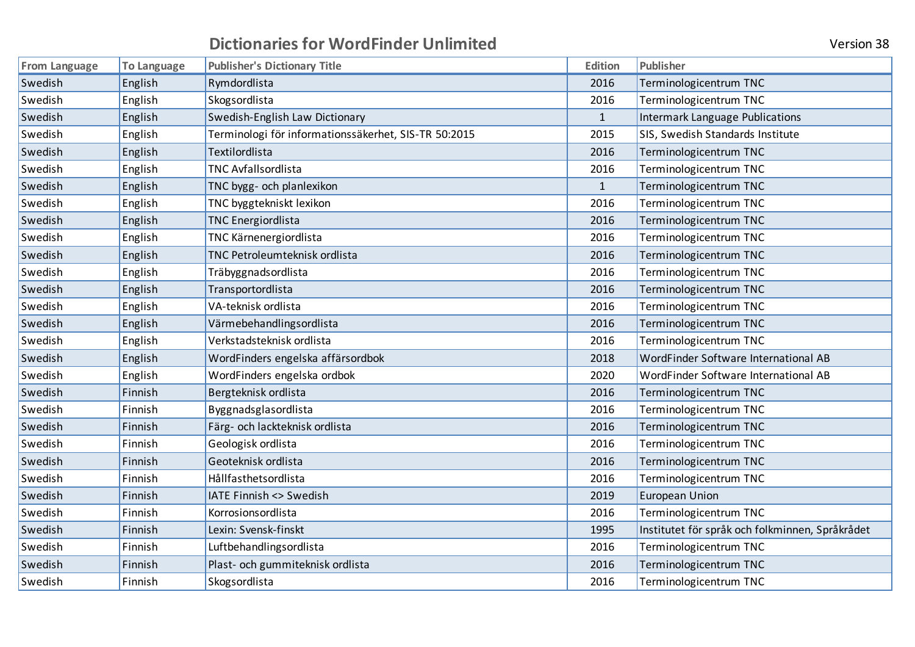| <b>Version 38</b> |  |
|-------------------|--|
|-------------------|--|

| <b>From Language</b> | <b>To Language</b> | <b>Publisher's Dictionary Title</b>                  | <b>Edition</b> | Publisher                                       |
|----------------------|--------------------|------------------------------------------------------|----------------|-------------------------------------------------|
| Swedish              | English            | Rymdordlista                                         | 2016           | Terminologicentrum TNC                          |
| Swedish              | English            | Skogsordlista                                        | 2016           | Terminologicentrum TNC                          |
| Swedish              | English            | Swedish-English Law Dictionary                       | $\mathbf{1}$   | Intermark Language Publications                 |
| Swedish              | English            | Terminologi för informationssäkerhet, SIS-TR 50:2015 | 2015           | SIS, Swedish Standards Institute                |
| Swedish              | English            | Textilordlista                                       | 2016           | Terminologicentrum TNC                          |
| Swedish              | English            | <b>TNC Avfallsordlista</b>                           | 2016           | Terminologicentrum TNC                          |
| Swedish              | English            | TNC bygg- och planlexikon                            | $\mathbf{1}$   | Terminologicentrum TNC                          |
| Swedish              | English            | TNC byggtekniskt lexikon                             | 2016           | Terminologicentrum TNC                          |
| Swedish              | English            | <b>TNC Energiordlista</b>                            | 2016           | Terminologicentrum TNC                          |
| Swedish              | English            | TNC Kärnenergiordlista                               | 2016           | Terminologicentrum TNC                          |
| Swedish              | English            | TNC Petroleumteknisk ordlista                        | 2016           | Terminologicentrum TNC                          |
| Swedish              | English            | Träbyggnadsordlista                                  | 2016           | Terminologicentrum TNC                          |
| Swedish              | English            | Transportordlista                                    | 2016           | Terminologicentrum TNC                          |
| Swedish              | English            | VA-teknisk ordlista                                  | 2016           | Terminologicentrum TNC                          |
| Swedish              | English            | Värmebehandlingsordlista                             | 2016           | Terminologicentrum TNC                          |
| Swedish              | English            | Verkstadsteknisk ordlista                            | 2016           | Terminologicentrum TNC                          |
| Swedish              | English            | WordFinders engelska affärsordbok                    | 2018           | WordFinder Software International AB            |
| Swedish              | English            | WordFinders engelska ordbok                          | 2020           | WordFinder Software International AB            |
| Swedish              | Finnish            | Bergteknisk ordlista                                 | 2016           | Terminologicentrum TNC                          |
| Swedish              | Finnish            | Byggnadsglasordlista                                 | 2016           | Terminologicentrum TNC                          |
| Swedish              | Finnish            | Färg- och lackteknisk ordlista                       | 2016           | Terminologicentrum TNC                          |
| Swedish              | Finnish            | Geologisk ordlista                                   | 2016           | Terminologicentrum TNC                          |
| Swedish              | Finnish            | Geoteknisk ordlista                                  | 2016           | Terminologicentrum TNC                          |
| Swedish              | Finnish            | Hållfasthetsordlista                                 | 2016           | Terminologicentrum TNC                          |
| Swedish              | Finnish            | IATE Finnish <> Swedish                              | 2019           | <b>European Union</b>                           |
| Swedish              | Finnish            | Korrosionsordlista                                   | 2016           | Terminologicentrum TNC                          |
| Swedish              | Finnish            | Lexin: Svensk-finskt                                 | 1995           | Institutet för språk och folkminnen, Språkrådet |
| Swedish              | Finnish            | Luftbehandlingsordlista                              | 2016           | Terminologicentrum TNC                          |
| Swedish              | Finnish            | Plast- och gummiteknisk ordlista                     | 2016           | Terminologicentrum TNC                          |
| Swedish              | Finnish            | Skogsordlista                                        | 2016           | Terminologicentrum TNC                          |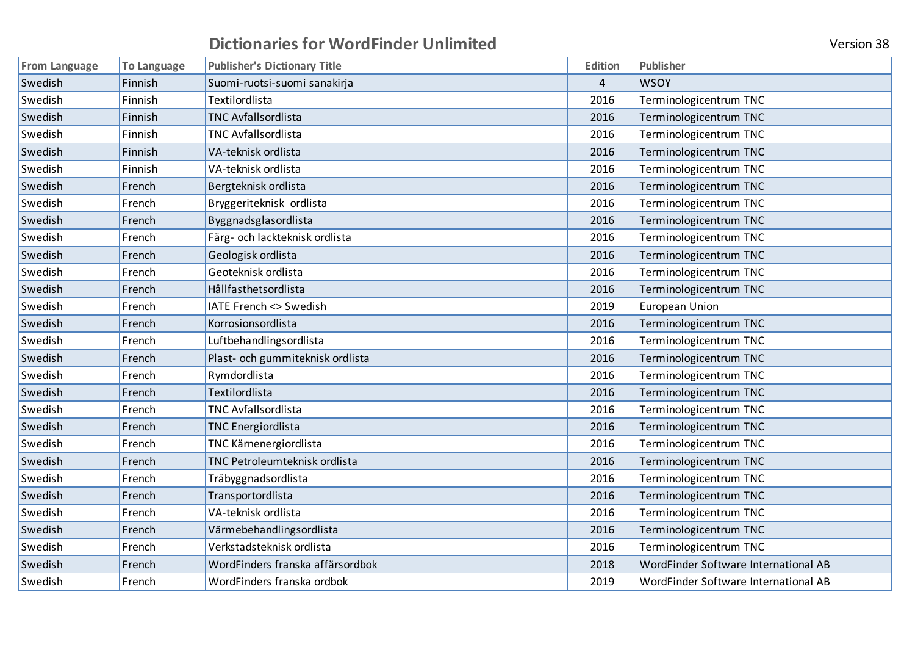| <b>From Language</b> | To Language | <b>Publisher's Dictionary Title</b> | <b>Edition</b> | Publisher                            |
|----------------------|-------------|-------------------------------------|----------------|--------------------------------------|
| Swedish              | Finnish     | Suomi-ruotsi-suomi sanakirja        | 4              | <b>WSOY</b>                          |
| Swedish              | Finnish     | Textilordlista                      | 2016           | Terminologicentrum TNC               |
| Swedish              | Finnish     | <b>TNC Avfallsordlista</b>          | 2016           | Terminologicentrum TNC               |
| Swedish              | Finnish     | <b>TNC Avfallsordlista</b>          | 2016           | Terminologicentrum TNC               |
| Swedish              | Finnish     | VA-teknisk ordlista                 | 2016           | Terminologicentrum TNC               |
| Swedish              | Finnish     | VA-teknisk ordlista                 | 2016           | Terminologicentrum TNC               |
| Swedish              | French      | Bergteknisk ordlista                | 2016           | Terminologicentrum TNC               |
| Swedish              | French      | Bryggeriteknisk ordlista            | 2016           | Terminologicentrum TNC               |
| Swedish              | French      | Byggnadsglasordlista                | 2016           | Terminologicentrum TNC               |
| Swedish              | French      | Färg- och lackteknisk ordlista      | 2016           | Terminologicentrum TNC               |
| Swedish              | French      | Geologisk ordlista                  | 2016           | Terminologicentrum TNC               |
| Swedish              | French      | Geoteknisk ordlista                 | 2016           | Terminologicentrum TNC               |
| Swedish              | French      | Hållfasthetsordlista                | 2016           | Terminologicentrum TNC               |
| Swedish              | French      | <b>IATE French &lt;&gt; Swedish</b> | 2019           | European Union                       |
| Swedish              | French      | Korrosionsordlista                  | 2016           | Terminologicentrum TNC               |
| Swedish              | French      | Luftbehandlingsordlista             | 2016           | Terminologicentrum TNC               |
| Swedish              | French      | Plast- och gummiteknisk ordlista    | 2016           | Terminologicentrum TNC               |
| Swedish              | French      | Rymdordlista                        | 2016           | Terminologicentrum TNC               |
| Swedish              | French      | Textilordlista                      | 2016           | Terminologicentrum TNC               |
| Swedish              | French      | <b>TNC Avfallsordlista</b>          | 2016           | Terminologicentrum TNC               |
| Swedish              | French      | <b>TNC Energiordlista</b>           | 2016           | Terminologicentrum TNC               |
| Swedish              | French      | TNC Kärnenergiordlista              | 2016           | Terminologicentrum TNC               |
| Swedish              | French      | TNC Petroleumteknisk ordlista       | 2016           | Terminologicentrum TNC               |
| Swedish              | French      | Träbyggnadsordlista                 | 2016           | Terminologicentrum TNC               |
| Swedish              | French      | Transportordlista                   | 2016           | Terminologicentrum TNC               |
| Swedish              | French      | VA-teknisk ordlista                 | 2016           | Terminologicentrum TNC               |
| Swedish              | French      | Värmebehandlingsordlista            | 2016           | Terminologicentrum TNC               |
| Swedish              | French      | Verkstadsteknisk ordlista           | 2016           | Terminologicentrum TNC               |
| Swedish              | French      | WordFinders franska affärsordbok    | 2018           | WordFinder Software International AB |
| Swedish              | French      | WordFinders franska ordbok          | 2019           | WordFinder Software International AB |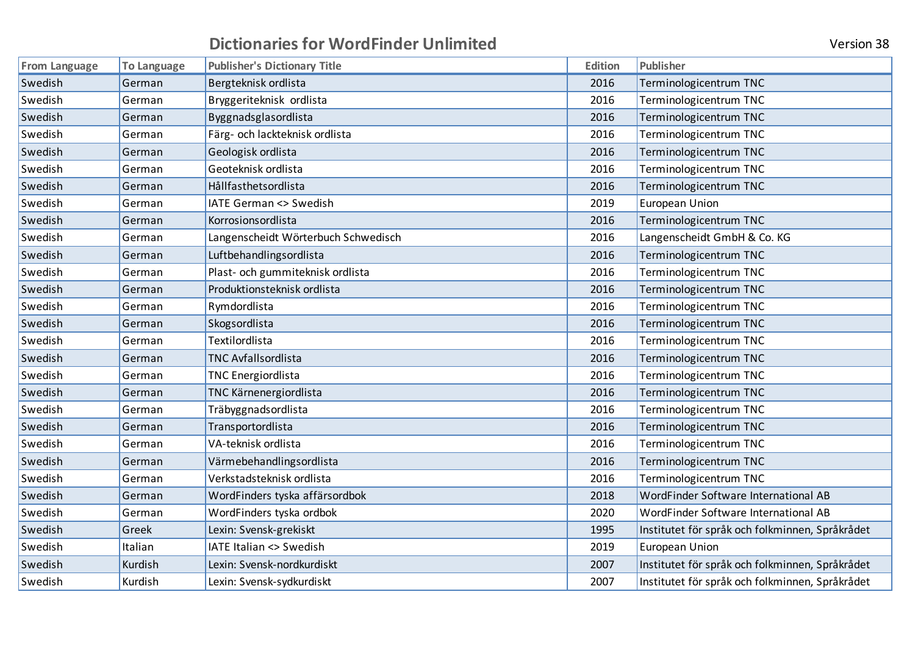| From Language | <b>To Language</b> | <b>Publisher's Dictionary Title</b>  | <b>Edition</b> | Publisher                                       |
|---------------|--------------------|--------------------------------------|----------------|-------------------------------------------------|
| Swedish       | German             | Bergteknisk ordlista                 | 2016           | Terminologicentrum TNC                          |
| Swedish       | German             | Bryggeriteknisk ordlista             | 2016           | Terminologicentrum TNC                          |
| Swedish       | German             | Byggnadsglasordlista                 | 2016           | Terminologicentrum TNC                          |
| Swedish       | German             | Färg- och lackteknisk ordlista       | 2016           | Terminologicentrum TNC                          |
| Swedish       | German             | Geologisk ordlista                   | 2016           | Terminologicentrum TNC                          |
| Swedish       | German             | Geoteknisk ordlista                  | 2016           | Terminologicentrum TNC                          |
| Swedish       | German             | Hållfasthetsordlista                 | 2016           | Terminologicentrum TNC                          |
| Swedish       | German             | IATE German <> Swedish               | 2019           | European Union                                  |
| Swedish       | German             | Korrosionsordlista                   | 2016           | Terminologicentrum TNC                          |
| Swedish       | German             | Langenscheidt Wörterbuch Schwedisch  | 2016           | Langenscheidt GmbH & Co. KG                     |
| Swedish       | German             | Luftbehandlingsordlista              | 2016           | Terminologicentrum TNC                          |
| Swedish       | German             | Plast- och gummiteknisk ordlista     | 2016           | Terminologicentrum TNC                          |
| Swedish       | German             | Produktionsteknisk ordlista          | 2016           | Terminologicentrum TNC                          |
| Swedish       | German             | Rymdordlista                         | 2016           | Terminologicentrum TNC                          |
| Swedish       | German             | Skogsordlista                        | 2016           | Terminologicentrum TNC                          |
| Swedish       | German             | Textilordlista                       | 2016           | Terminologicentrum TNC                          |
| Swedish       | German             | <b>TNC Avfallsordlista</b>           | 2016           | Terminologicentrum TNC                          |
| Swedish       | German             | <b>TNC Energiordlista</b>            | 2016           | Terminologicentrum TNC                          |
| Swedish       | German             | TNC Kärnenergiordlista               | 2016           | Terminologicentrum TNC                          |
| Swedish       | German             | Träbyggnadsordlista                  | 2016           | Terminologicentrum TNC                          |
| Swedish       | German             | Transportordlista                    | 2016           | Terminologicentrum TNC                          |
| Swedish       | German             | VA-teknisk ordlista                  | 2016           | Terminologicentrum TNC                          |
| Swedish       | German             | Värmebehandlingsordlista             | 2016           | Terminologicentrum TNC                          |
| Swedish       | German             | Verkstadsteknisk ordlista            | 2016           | Terminologicentrum TNC                          |
| Swedish       | German             | WordFinders tyska affärsordbok       | 2018           | WordFinder Software International AB            |
| Swedish       | German             | WordFinders tyska ordbok             | 2020           | WordFinder Software International AB            |
| Swedish       | Greek              | Lexin: Svensk-grekiskt               | 1995           | Institutet för språk och folkminnen, Språkrådet |
| Swedish       | Italian            | <b>IATE Italian &lt;&gt; Swedish</b> | 2019           | European Union                                  |
| Swedish       | Kurdish            | Lexin: Svensk-nordkurdiskt           | 2007           | Institutet för språk och folkminnen, Språkrådet |
| Swedish       | Kurdish            | Lexin: Svensk-sydkurdiskt            | 2007           | Institutet för språk och folkminnen, Språkrådet |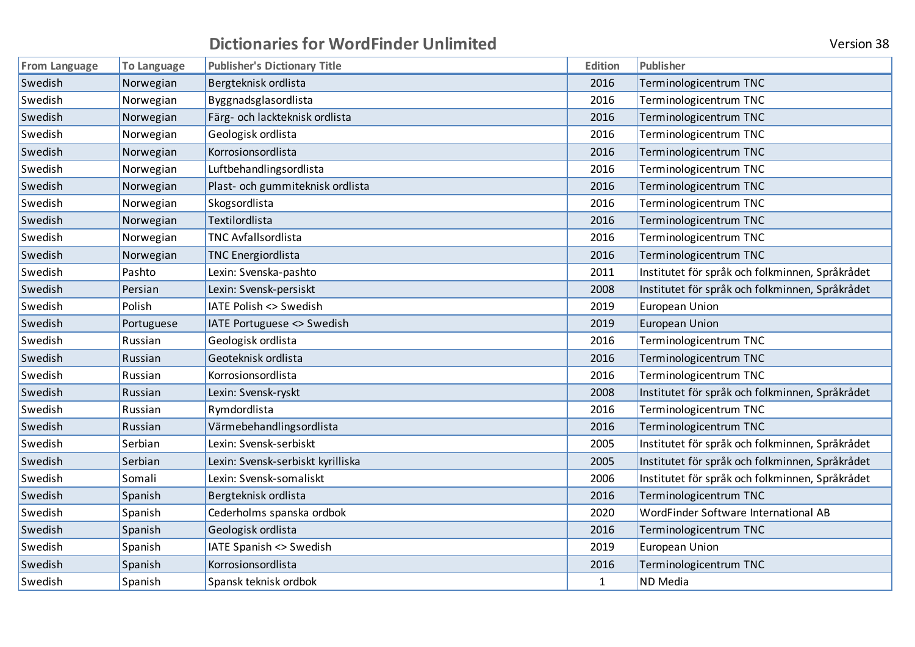| <b>From Language</b> | To Language | <b>Publisher's Dictionary Title</b> | <b>Edition</b> | Publisher                                       |
|----------------------|-------------|-------------------------------------|----------------|-------------------------------------------------|
| Swedish              | Norwegian   | Bergteknisk ordlista                | 2016           | Terminologicentrum TNC                          |
| Swedish              | Norwegian   | Byggnadsglasordlista                | 2016           | Terminologicentrum TNC                          |
| Swedish              | Norwegian   | Färg- och lackteknisk ordlista      | 2016           | Terminologicentrum TNC                          |
| Swedish              | Norwegian   | Geologisk ordlista                  | 2016           | Terminologicentrum TNC                          |
| Swedish              | Norwegian   | Korrosionsordlista                  | 2016           | Terminologicentrum TNC                          |
| Swedish              | Norwegian   | Luftbehandlingsordlista             | 2016           | Terminologicentrum TNC                          |
| Swedish              | Norwegian   | Plast- och gummiteknisk ordlista    | 2016           | Terminologicentrum TNC                          |
| Swedish              | Norwegian   | Skogsordlista                       | 2016           | Terminologicentrum TNC                          |
| Swedish              | Norwegian   | Textilordlista                      | 2016           | Terminologicentrum TNC                          |
| Swedish              | Norwegian   | <b>TNC Avfallsordlista</b>          | 2016           | Terminologicentrum TNC                          |
| Swedish              | Norwegian   | <b>TNC Energiordlista</b>           | 2016           | Terminologicentrum TNC                          |
| Swedish              | Pashto      | Lexin: Svenska-pashto               | 2011           | Institutet för språk och folkminnen, Språkrådet |
| Swedish              | Persian     | Lexin: Svensk-persiskt              | 2008           | Institutet för språk och folkminnen, Språkrådet |
| Swedish              | Polish      | IATE Polish <> Swedish              | 2019           | <b>European Union</b>                           |
| Swedish              | Portuguese  | IATE Portuguese <> Swedish          | 2019           | <b>European Union</b>                           |
| Swedish              | Russian     | Geologisk ordlista                  | 2016           | Terminologicentrum TNC                          |
| Swedish              | Russian     | Geoteknisk ordlista                 | 2016           | Terminologicentrum TNC                          |
| Swedish              | Russian     | Korrosionsordlista                  | 2016           | Terminologicentrum TNC                          |
| Swedish              | Russian     | Lexin: Svensk-ryskt                 | 2008           | Institutet för språk och folkminnen, Språkrådet |
| Swedish              | Russian     | Rymdordlista                        | 2016           | Terminologicentrum TNC                          |
| Swedish              | Russian     | Värmebehandlingsordlista            | 2016           | Terminologicentrum TNC                          |
| Swedish              | Serbian     | Lexin: Svensk-serbiskt              | 2005           | Institutet för språk och folkminnen, Språkrådet |
| Swedish              | Serbian     | Lexin: Svensk-serbiskt kyrilliska   | 2005           | Institutet för språk och folkminnen, Språkrådet |
| Swedish              | Somali      | Lexin: Svensk-somaliskt             | 2006           | Institutet för språk och folkminnen, Språkrådet |
| Swedish              | Spanish     | Bergteknisk ordlista                | 2016           | Terminologicentrum TNC                          |
| Swedish              | Spanish     | Cederholms spanska ordbok           | 2020           | WordFinder Software International AB            |
| Swedish              | Spanish     | Geologisk ordlista                  | 2016           | Terminologicentrum TNC                          |
| Swedish              | Spanish     | IATE Spanish <> Swedish             | 2019           | <b>European Union</b>                           |
| Swedish              | Spanish     | Korrosionsordlista                  | 2016           | Terminologicentrum TNC                          |
| Swedish              | Spanish     | Spansk teknisk ordbok               | $\mathbf{1}$   | <b>ND</b> Media                                 |